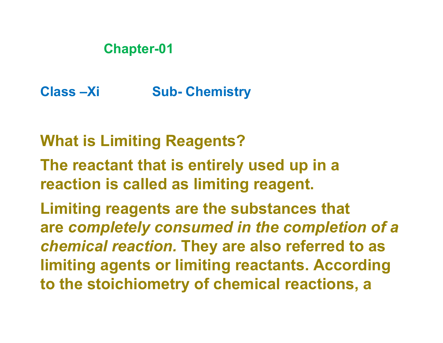# **Chapter-01**

**Class –Xi Sub- Chemistry**

**What is Limiting Reagents?**

**The reactant that is entirely used up in a reaction is called as limiting reagent.**

**Limiting reagents are the substances that are** *completely consumed in the completion of a chemical reaction.* **They are also referred to as limiting agents or limiting reactants. According to the stoichiometry of chemical reactions, a**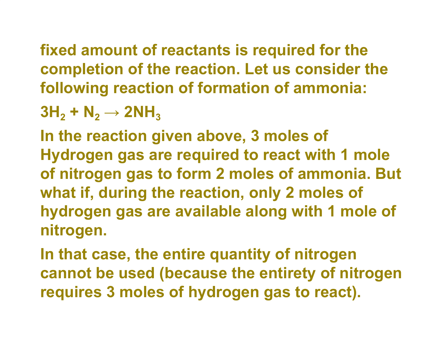**fixed amount of reactants is required for the completion of the reaction. Let us consider the following reaction of formation of ammonia:**

 $3H_2 + N_2 \rightarrow 2NH_3$ 

**In the reaction given above, 3 moles of Hydrogen gas are required to react with 1 mole of nitrogen gas to form 2 moles of ammonia. But what if, during the reaction, only 2 moles of hydrogen gas are available along with 1 mole of nitrogen.**

**In that case, the entire quantity of nitrogen cannot be used (because the entirety of nitrogen requires 3 moles of hydrogen gas to react).**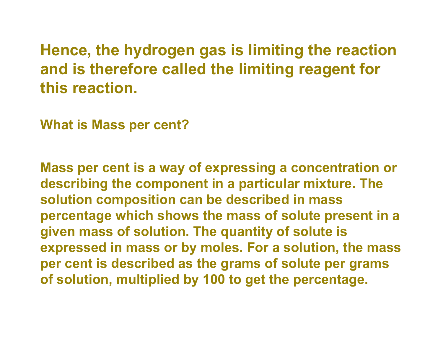**Hence, the hydrogen gas is limiting the reaction and is therefore called the limiting reagent for this reaction.**

**What is Mass per cent?**

**Mass per cent is a way of expressing a concentration or describing the component in a particular mixture. The solution composition can be described in mass percentage which shows the mass of solute present in a given mass of solution. The quantity of solute is expressed in mass or by moles. For a solution, the mass per cent is described as the grams of solute per grams of solution, multiplied by 100 to get the percentage.**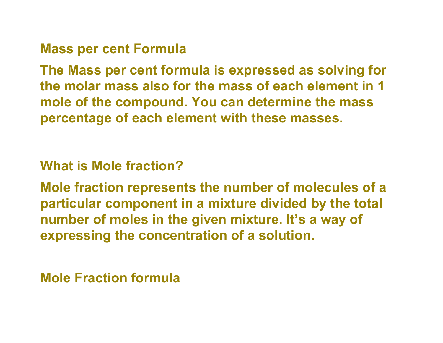### **Mass per cent Formula**

**The Mass per cent formula is expressed as solving for the molar mass also for the mass of each element in 1 mole of the compound. You can determine the mass percentage of each element with these masses.**

## **What is Mole fraction?**

**Mole fraction represents the number of molecules of a particular component in a mixture divided by the total number of moles in the given mixture. It's a way of expressing the concentration of a solution.**

# **Mole Fraction formula**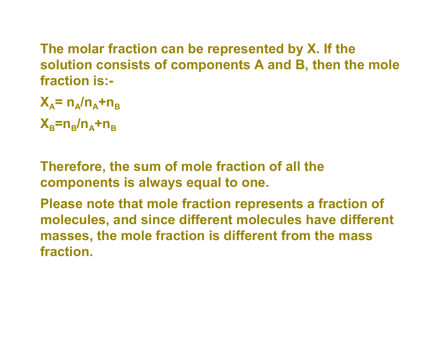**The molar fraction can be represented by X. If the solution consists of components A and B, then the mole fraction is:-**

 $X_A$ =  $n_A/n_A$ + $n_B$ 

**XB=n<sup>B</sup> /nA+n<sup>B</sup>**

**Therefore, the sum of mole fraction of all the components is always equal to one.**

**Please note that mole fraction represents a fraction of molecules, and since different molecules have different masses, the mole fraction is different from the mass fraction.**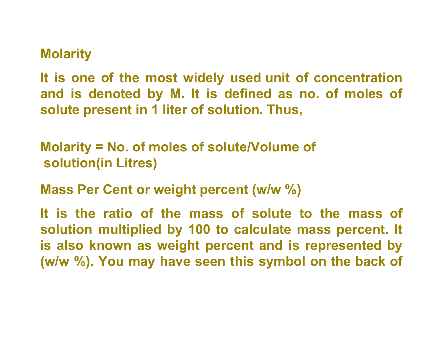### **Molarity**

**It is one of the most widely used unit of concentration and is denoted by M. It is defined as no. of moles of solute present in 1 liter of solution. Thus,**

**Molarity = No. of moles of solute/Volume of solution(in Litres)**

**Mass Per Cent or weight percent (w/w %)**

**It is the ratio of the mass of solute to the mass of solution multiplied by 100 to calculate mass percent. It is also known as weight percent and is represented by (w/w %). You may have seen this symbol on the back of**